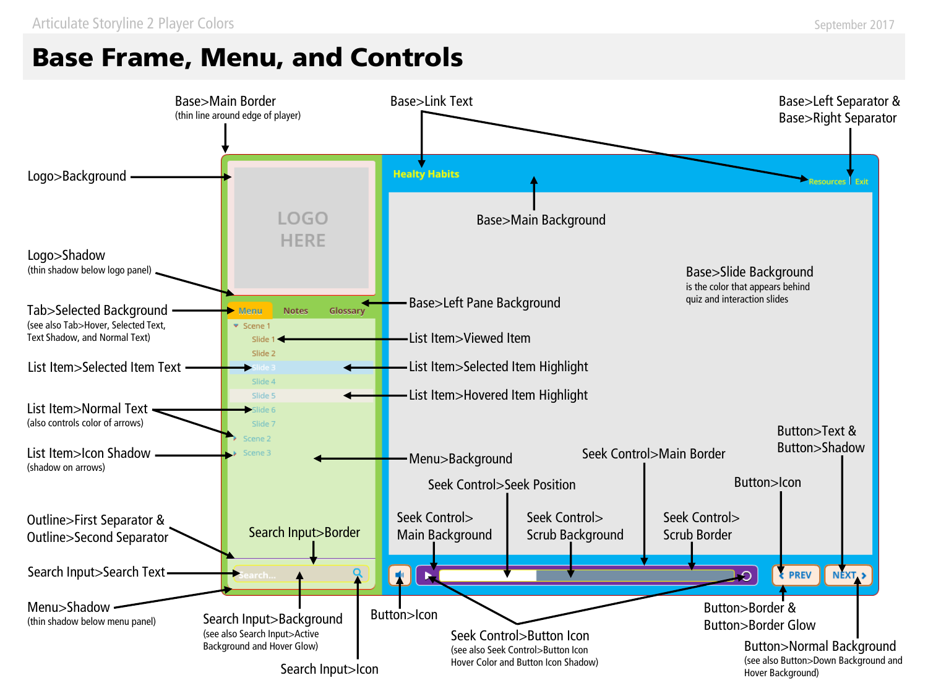# **Base Frame, Menu, and Controls**

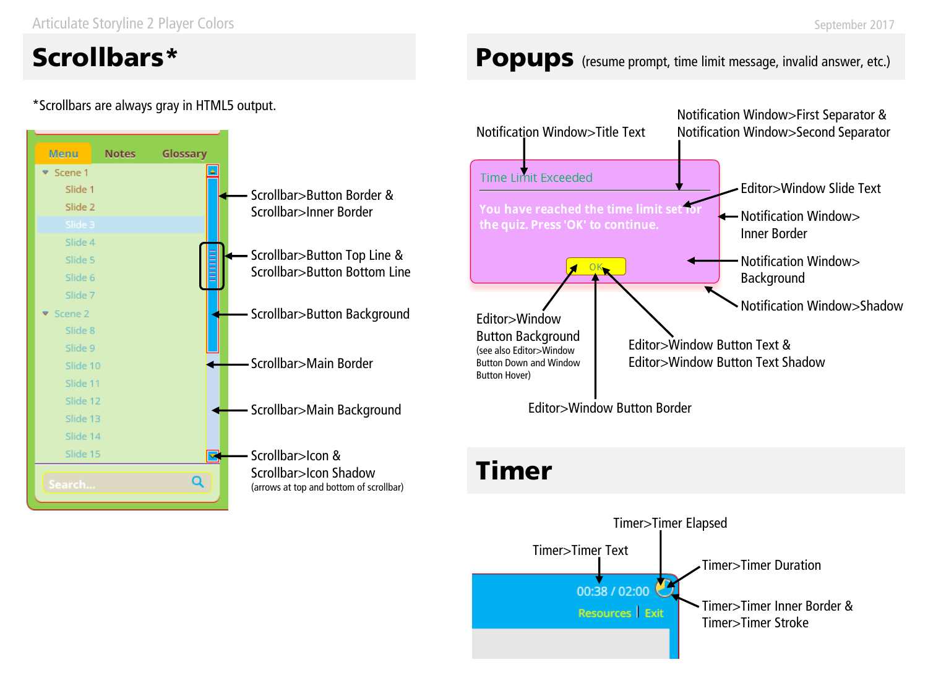Articulate Storyline 2 Player Colors

# **Scrollbars\***

### \*Scrollbars are always gray in HTML5 output.



### Popups (resume prompt, time limit message, invalid answer, etc.)



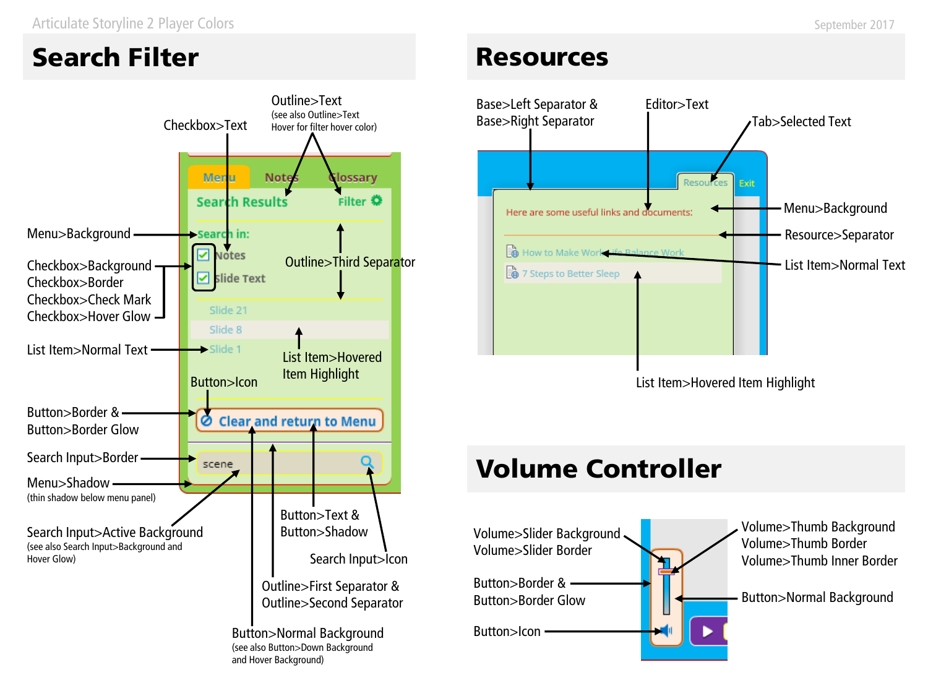Articulate Storyline 2 Player Colors

# **Search Filter**



## **Resources**